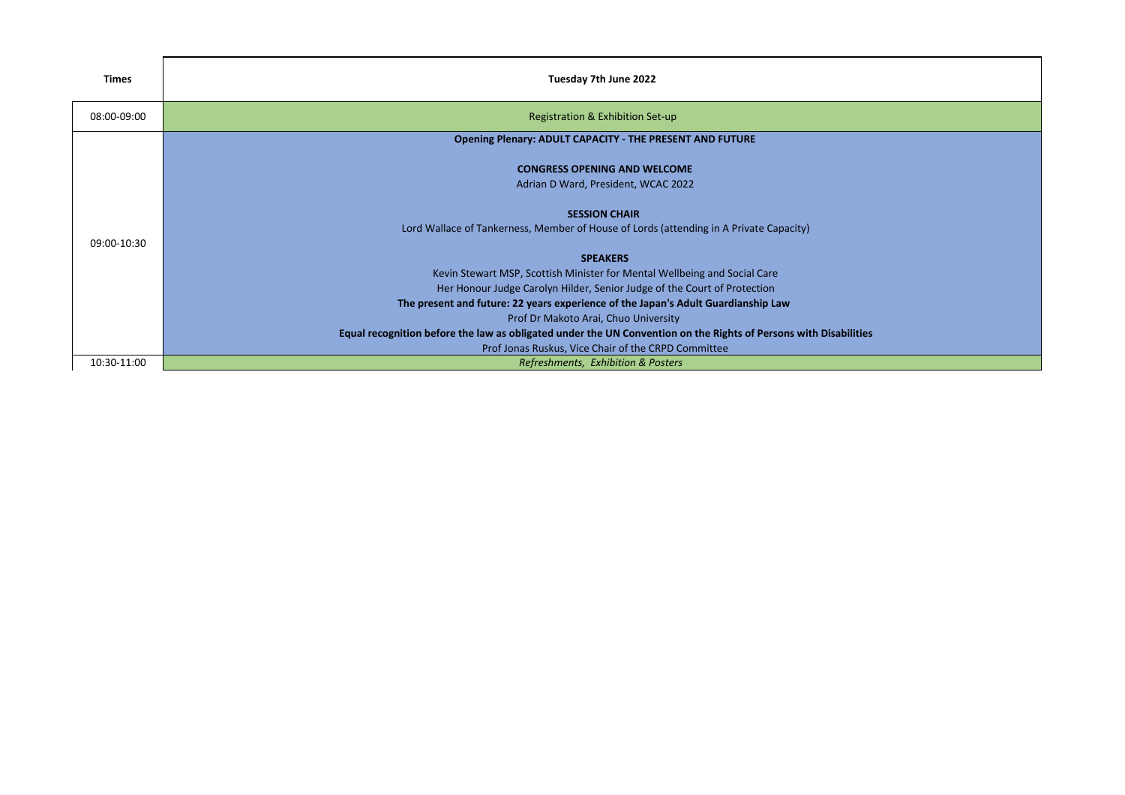| Times       | Tuesday 7th June 2022                                                                                            |
|-------------|------------------------------------------------------------------------------------------------------------------|
| 08:00-09:00 | Registration & Exhibition Set-up                                                                                 |
|             | Opening Plenary: ADULT CAPACITY - THE PRESENT AND FUTURE                                                         |
|             | <b>CONGRESS OPENING AND WELCOME</b>                                                                              |
|             | Adrian D Ward, President, WCAC 2022                                                                              |
|             | <b>SESSION CHAIR</b>                                                                                             |
| 09:00-10:30 | Lord Wallace of Tankerness, Member of House of Lords (attending in A Private Capacity)                           |
|             | <b>SPEAKERS</b>                                                                                                  |
|             | Kevin Stewart MSP, Scottish Minister for Mental Wellbeing and Social Care                                        |
|             | Her Honour Judge Carolyn Hilder, Senior Judge of the Court of Protection                                         |
|             | The present and future: 22 years experience of the Japan's Adult Guardianship Law                                |
|             | Prof Dr Makoto Arai, Chuo University                                                                             |
|             | Equal recognition before the law as obligated under the UN Convention on the Rights of Persons with Disabilities |
|             | Prof Jonas Ruskus, Vice Chair of the CRPD Committee                                                              |
| 10:30-11:00 | Refreshments, Exhibition & Posters                                                                               |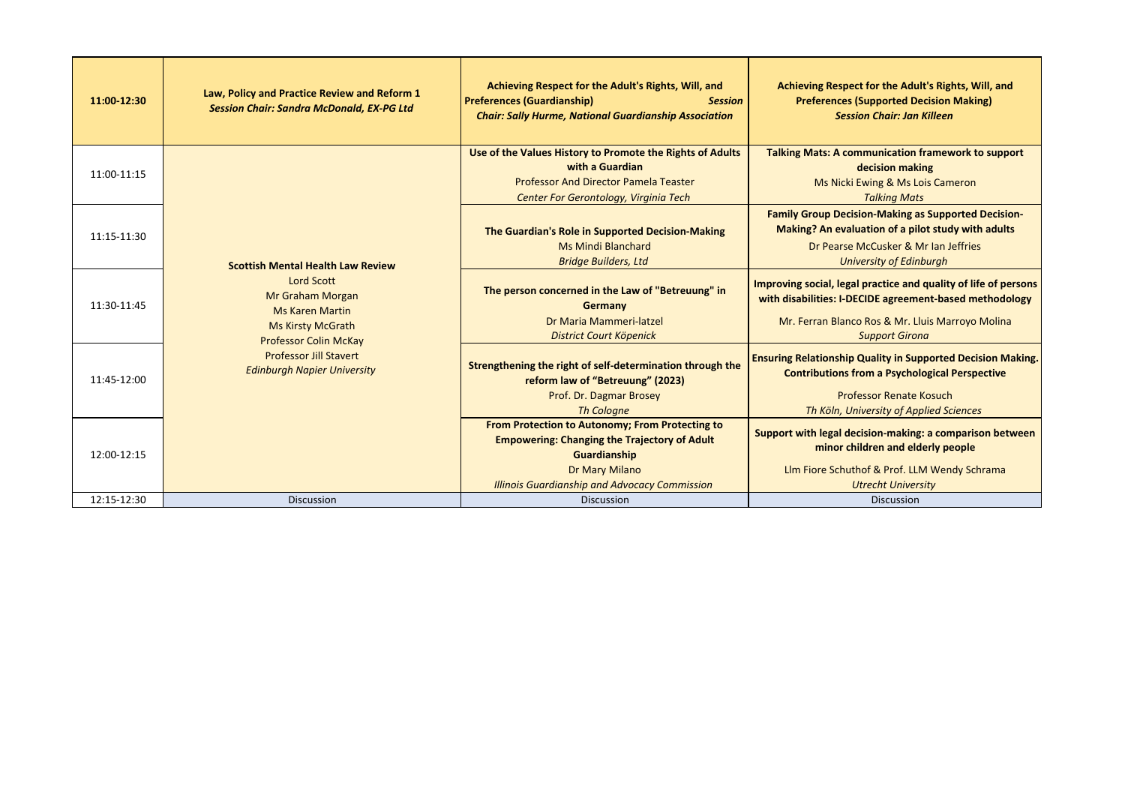| 11:00-12:30 | Law, Policy and Practice Review and Reform 1<br><b>Session Chair: Sandra McDonald, EX-PG Ltd</b>                                                                                                                                               | Achieving Respect for the Adult's Rights, Will, and<br><b>Preferences (Guardianship)</b><br><b>Session</b><br><b>Chair: Sally Hurme, National Guardianship Association</b>                       | Achieving Respect for the Adult's Rights, Will, and<br><b>Preferences (Supported Decision Making)</b><br><b>Session Chair: Jan Killeen</b>                                                               |
|-------------|------------------------------------------------------------------------------------------------------------------------------------------------------------------------------------------------------------------------------------------------|--------------------------------------------------------------------------------------------------------------------------------------------------------------------------------------------------|----------------------------------------------------------------------------------------------------------------------------------------------------------------------------------------------------------|
| 11:00-11:15 |                                                                                                                                                                                                                                                | Use of the Values History to Promote the Rights of Adults<br>with a Guardian<br><b>Professor And Director Pamela Teaster</b><br>Center For Gerontology, Virginia Tech                            | <b>Talking Mats: A communication framework to support</b><br>decision making<br>Ms Nicki Ewing & Ms Lois Cameron<br><b>Talking Mats</b>                                                                  |
| 11:15-11:30 | <b>Scottish Mental Health Law Review</b><br><b>Lord Scott</b><br>Mr Graham Morgan<br><b>Ms Karen Martin</b><br><b>Ms Kirsty McGrath</b><br><b>Professor Colin McKay</b><br><b>Professor Jill Stavert</b><br><b>Edinburgh Napier University</b> | The Guardian's Role in Supported Decision-Making<br><b>Ms Mindi Blanchard</b><br><b>Bridge Builders, Ltd</b>                                                                                     | <b>Family Group Decision-Making as Supported Decision-</b><br>Making? An evaluation of a pilot study with adults<br>Dr Pearse McCusker & Mr Ian Jeffries<br><b>University of Edinburgh</b>               |
| 11:30-11:45 |                                                                                                                                                                                                                                                | The person concerned in the Law of "Betreuung" in<br>Germany<br>Dr Maria Mammeri-latzel<br>District Court Köpenick                                                                               | Improving social, legal practice and quality of life of persons<br>with disabilities: I-DECIDE agreement-based methodology<br>Mr. Ferran Blanco Ros & Mr. Lluis Marroyo Molina<br><b>Support Girona</b>  |
| 11:45-12:00 |                                                                                                                                                                                                                                                | Strengthening the right of self-determination through the<br>reform law of "Betreuung" (2023)<br>Prof. Dr. Dagmar Brosey<br><b>Th Cologne</b>                                                    | <b>Ensuring Relationship Quality in Supported Decision Making.</b><br><b>Contributions from a Psychological Perspective</b><br><b>Professor Renate Kosuch</b><br>Th Köln, University of Applied Sciences |
| 12:00-12:15 |                                                                                                                                                                                                                                                | From Protection to Autonomy; From Protecting to<br><b>Empowering: Changing the Trajectory of Adult</b><br>Guardianship<br>Dr Mary Milano<br><b>Illinois Guardianship and Advocacy Commission</b> | Support with legal decision-making: a comparison between<br>minor children and elderly people<br>Llm Fiore Schuthof & Prof. LLM Wendy Schrama<br><b>Utrecht University</b>                               |
| 12:15-12:30 | <b>Discussion</b>                                                                                                                                                                                                                              | <b>Discussion</b>                                                                                                                                                                                | <b>Discussion</b>                                                                                                                                                                                        |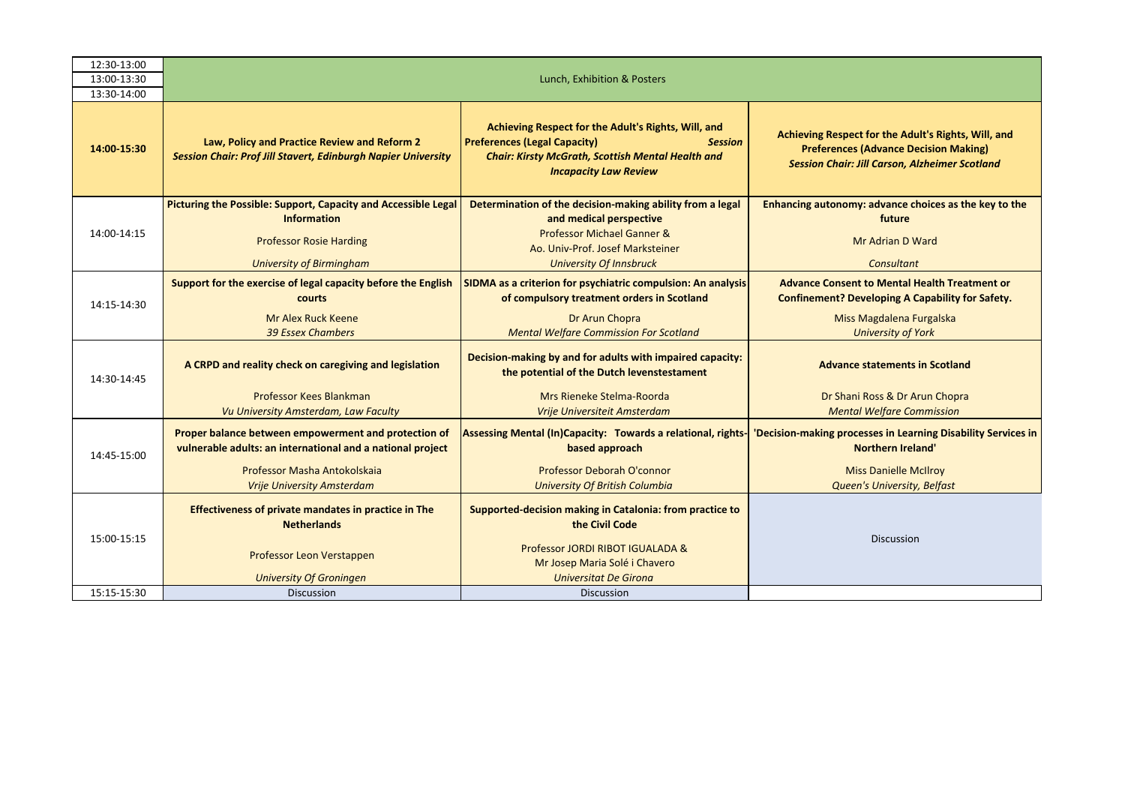| 12:30-13:00 |                                                                                                                      |                                                                                                                                                                                                          |                                                                                                                                                              |  |  |  |
|-------------|----------------------------------------------------------------------------------------------------------------------|----------------------------------------------------------------------------------------------------------------------------------------------------------------------------------------------------------|--------------------------------------------------------------------------------------------------------------------------------------------------------------|--|--|--|
| 13:00-13:30 | Lunch, Exhibition & Posters                                                                                          |                                                                                                                                                                                                          |                                                                                                                                                              |  |  |  |
| 13:30-14:00 |                                                                                                                      |                                                                                                                                                                                                          |                                                                                                                                                              |  |  |  |
| 14:00-15:30 | Law, Policy and Practice Review and Reform 2<br><b>Session Chair: Prof Jill Stavert, Edinburgh Napier University</b> | Achieving Respect for the Adult's Rights, Will, and<br><b>Preferences (Legal Capacity)</b><br><b>Session</b><br><b>Chair: Kirsty McGrath, Scottish Mental Health and</b><br><b>Incapacity Law Review</b> | Achieving Respect for the Adult's Rights, Will, and<br><b>Preferences (Advance Decision Making)</b><br><b>Session Chair: Jill Carson, Alzheimer Scotland</b> |  |  |  |
|             | Picturing the Possible: Support, Capacity and Accessible Legal                                                       | Determination of the decision-making ability from a legal                                                                                                                                                | Enhancing autonomy: advance choices as the key to the                                                                                                        |  |  |  |
|             | <b>Information</b>                                                                                                   | and medical perspective                                                                                                                                                                                  | future                                                                                                                                                       |  |  |  |
| 14:00-14:15 | <b>Professor Rosie Harding</b>                                                                                       | Professor Michael Ganner &<br>Ao. Univ-Prof. Josef Marksteiner                                                                                                                                           | Mr Adrian D Ward                                                                                                                                             |  |  |  |
|             | <b>University of Birmingham</b>                                                                                      | <b>University Of Innsbruck</b>                                                                                                                                                                           | <b>Consultant</b>                                                                                                                                            |  |  |  |
|             | Support for the exercise of legal capacity before the English                                                        | <b>SIDMA</b> as a criterion for psychiatric compulsion: An analysis                                                                                                                                      | <b>Advance Consent to Mental Health Treatment or</b>                                                                                                         |  |  |  |
|             | courts                                                                                                               | of compulsory treatment orders in Scotland                                                                                                                                                               | <b>Confinement? Developing A Capability for Safety.</b>                                                                                                      |  |  |  |
| 14:15-14:30 | Mr Alex Ruck Keene                                                                                                   | Dr Arun Chopra                                                                                                                                                                                           | Miss Magdalena Furgalska                                                                                                                                     |  |  |  |
|             | <b>39 Essex Chambers</b>                                                                                             | <b>Mental Welfare Commission For Scotland</b>                                                                                                                                                            | <b>University of York</b>                                                                                                                                    |  |  |  |
| 14:30-14:45 | A CRPD and reality check on caregiving and legislation                                                               | Decision-making by and for adults with impaired capacity:<br>the potential of the Dutch levenstestament                                                                                                  | <b>Advance statements in Scotland</b>                                                                                                                        |  |  |  |
|             | Professor Kees Blankman                                                                                              | Mrs Rieneke Stelma-Roorda                                                                                                                                                                                | Dr Shani Ross & Dr Arun Chopra                                                                                                                               |  |  |  |
|             | Vu University Amsterdam, Law Faculty                                                                                 | Vrije Universiteit Amsterdam                                                                                                                                                                             | <b>Mental Welfare Commission</b>                                                                                                                             |  |  |  |
| 14:45-15:00 | Proper balance between empowerment and protection of<br>vulnerable adults: an international and a national project   | Assessing Mental (In)Capacity: Towards a relational, rights-<br>based approach                                                                                                                           | 'Decision-making processes in Learning Disability Services in<br><b>Northern Ireland'</b>                                                                    |  |  |  |
|             | Professor Masha Antokolskaja                                                                                         | Professor Deborah O'connor                                                                                                                                                                               | <b>Miss Danielle McIlroy</b>                                                                                                                                 |  |  |  |
|             | <b>Vrije University Amsterdam</b>                                                                                    | <b>University Of British Columbia</b>                                                                                                                                                                    | Queen's University, Belfast                                                                                                                                  |  |  |  |
| 15:00-15:15 | <b>Effectiveness of private mandates in practice in The</b><br><b>Netherlands</b>                                    | Supported-decision making in Catalonia: from practice to<br>the Civil Code                                                                                                                               | <b>Discussion</b>                                                                                                                                            |  |  |  |
|             | Professor Leon Verstappen                                                                                            | Professor JORDI RIBOT IGUALADA &<br>Mr Josep Maria Solé i Chavero                                                                                                                                        |                                                                                                                                                              |  |  |  |
| 15:15-15:30 | <b>University Of Groningen</b>                                                                                       | <b>Universitat De Girona</b>                                                                                                                                                                             |                                                                                                                                                              |  |  |  |
|             | <b>Discussion</b>                                                                                                    | <b>Discussion</b>                                                                                                                                                                                        |                                                                                                                                                              |  |  |  |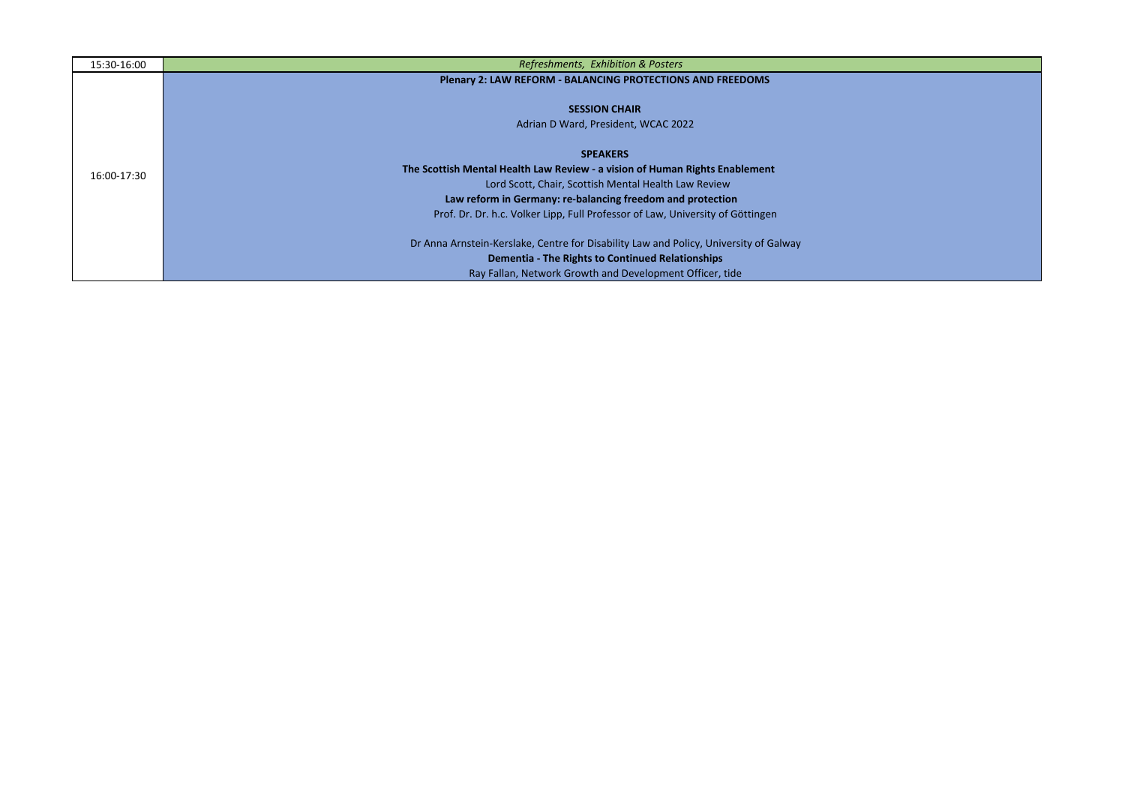| 15:30-16:00 | Refreshments, Exhibition & Posters                                                    |  |  |  |  |  |
|-------------|---------------------------------------------------------------------------------------|--|--|--|--|--|
|             | <b>Plenary 2: LAW REFORM - BALANCING PROTECTIONS AND FREEDOMS</b>                     |  |  |  |  |  |
|             |                                                                                       |  |  |  |  |  |
|             | <b>SESSION CHAIR</b>                                                                  |  |  |  |  |  |
|             | Adrian D Ward, President, WCAC 2022                                                   |  |  |  |  |  |
|             | <b>SPEAKERS</b>                                                                       |  |  |  |  |  |
|             | The Scottish Mental Health Law Review - a vision of Human Rights Enablement           |  |  |  |  |  |
| 16:00-17:30 | Lord Scott, Chair, Scottish Mental Health Law Review                                  |  |  |  |  |  |
|             | Law reform in Germany: re-balancing freedom and protection                            |  |  |  |  |  |
|             | Prof. Dr. Dr. h.c. Volker Lipp, Full Professor of Law, University of Göttingen        |  |  |  |  |  |
|             | Dr Anna Arnstein-Kerslake, Centre for Disability Law and Policy, University of Galway |  |  |  |  |  |
|             | <b>Dementia - The Rights to Continued Relationships</b>                               |  |  |  |  |  |
|             | Ray Fallan, Network Growth and Development Officer, tide                              |  |  |  |  |  |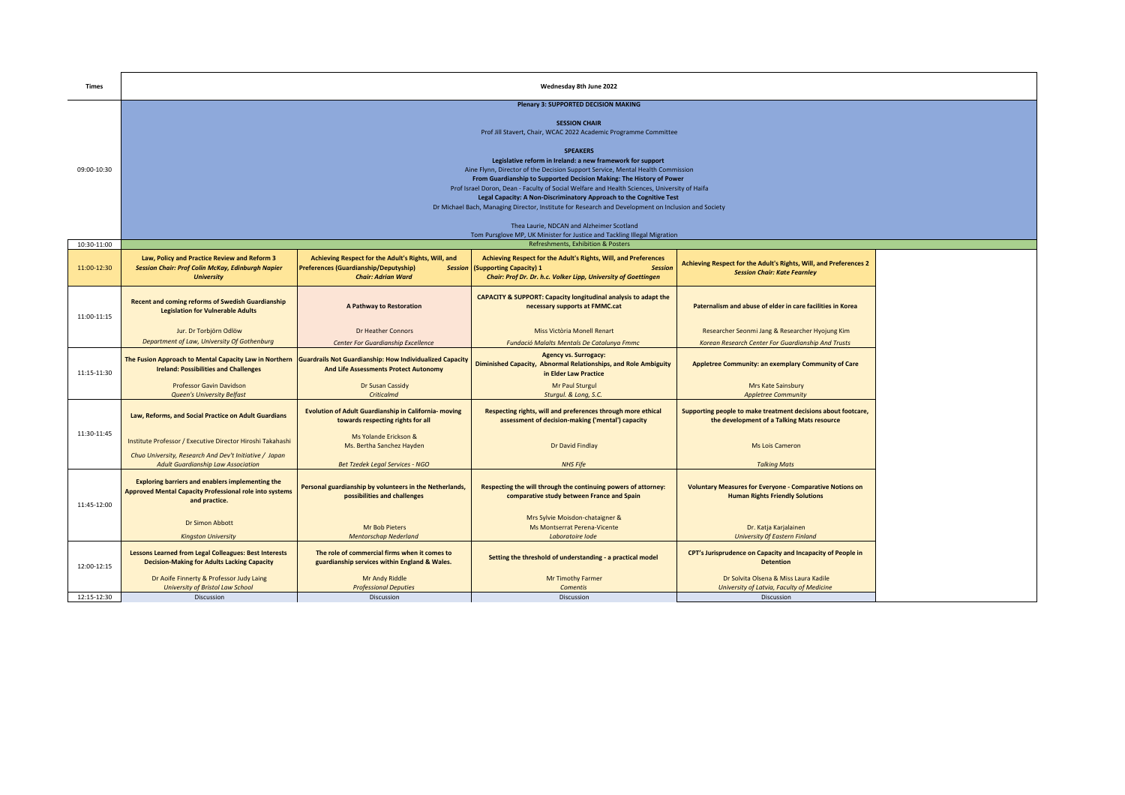| <b>Times</b>               | Wednesday 8th June 2022                                                                                                                                                                                                                                                                                                                                                                                                                                                                                               |                                                                                                                                                       |                                                                                                                                                                                                               |                                                                                                             |  |  |
|----------------------------|-----------------------------------------------------------------------------------------------------------------------------------------------------------------------------------------------------------------------------------------------------------------------------------------------------------------------------------------------------------------------------------------------------------------------------------------------------------------------------------------------------------------------|-------------------------------------------------------------------------------------------------------------------------------------------------------|---------------------------------------------------------------------------------------------------------------------------------------------------------------------------------------------------------------|-------------------------------------------------------------------------------------------------------------|--|--|
|                            | <b>Plenary 3: SUPPORTED DECISION MAKING</b><br><b>SESSION CHAIR</b><br>Prof Jill Stavert, Chair, WCAC 2022 Academic Programme Committee                                                                                                                                                                                                                                                                                                                                                                               |                                                                                                                                                       |                                                                                                                                                                                                               |                                                                                                             |  |  |
| 09:00-10:30                | <b>SPEAKERS</b><br>Legislative reform in Ireland: a new framework for support<br>Aine Flynn, Director of the Decision Support Service, Mental Health Commission<br>From Guardianship to Supported Decision Making: The History of Power<br>Prof Israel Doron, Dean - Faculty of Social Welfare and Health Sciences, University of Haifa<br>Legal Capacity: A Non-Discriminatory Approach to the Cognitive Test<br>Dr Michael Bach, Managing Director, Institute for Research and Development on Inclusion and Society |                                                                                                                                                       |                                                                                                                                                                                                               |                                                                                                             |  |  |
|                            |                                                                                                                                                                                                                                                                                                                                                                                                                                                                                                                       |                                                                                                                                                       | Thea Laurie, NDCAN and Alzheimer Scotland<br>Tom Pursglove MP, UK Minister for Justice and Tackling Illegal Migration                                                                                         |                                                                                                             |  |  |
| 10:30-11:00<br>11:00-12:30 | Law, Policy and Practice Review and Reform 3<br><b>Session Chair: Prof Colin McKay, Edinburgh Napier</b><br><b>University</b>                                                                                                                                                                                                                                                                                                                                                                                         | Achieving Respect for the Adult's Rights, Will, and<br>Preferences (Guardianship/Deputyship)<br><b>Session</b><br><b>Chair: Adrian Ward</b>           | Refreshments, Exhibition & Posters<br>Achieving Respect for the Adult's Rights, Will, and Preferences<br>(Supporting Capacity) 1<br>Session<br>Chair: Prof Dr. Dr. h.c. Volker Lipp, University of Goettingen | Achieving Respect for the Adult's Rights, Will, and Preferences 2<br><b>Session Chair: Kate Fearnley</b>    |  |  |
| 11:00-11:15                | <b>Recent and coming reforms of Swedish Guardianship</b><br><b>Legislation for Vulnerable Adults</b>                                                                                                                                                                                                                                                                                                                                                                                                                  | A Pathway to Restoration                                                                                                                              | <b>CAPACITY &amp; SUPPORT: Capacity longitudinal analysis to adapt the</b><br>necessary supports at FMMC.cat                                                                                                  | Paternalism and abuse of elder in care facilities in Korea                                                  |  |  |
|                            | Jur. Dr Torbjörn Odlöw<br>Department of Law, University Of Gothenburg                                                                                                                                                                                                                                                                                                                                                                                                                                                 | Dr Heather Connors                                                                                                                                    | Miss Victòria Monell Renart                                                                                                                                                                                   | Researcher Seonmi Jang & Researcher Hyojung Kim                                                             |  |  |
| 11:15-11:30                | The Fusion Approach to Mental Capacity Law in Northern<br><b>Ireland: Possibilities and Challenges</b>                                                                                                                                                                                                                                                                                                                                                                                                                | Center For Guardianship Excellence<br><b>Guardrails Not Guardianship: How Individualized Capacity</b><br><b>And Life Assessments Protect Autonomy</b> | Fundació Malalts Mentals De Catalunya Fmmc<br><b>Agency vs. Surrogacy:</b><br>Diminished Capacity, Abnormal Relationships, and Role Ambiguity<br>in Elder Law Practice                                        | Korean Research Center For Guardianship And Trusts<br>Appletree Community: an exemplary Community of Care   |  |  |
|                            | Professor Gavin Davidson<br><b>Queen's University Belfast</b>                                                                                                                                                                                                                                                                                                                                                                                                                                                         | Dr Susan Cassidy<br>Criticalmd                                                                                                                        | Mr Paul Sturgul<br>Sturgul. & Long, S.C.                                                                                                                                                                      | Mrs Kate Sainsbury<br><b>Appletree Community</b>                                                            |  |  |
|                            | Law, Reforms, and Social Practice on Adult Guardians                                                                                                                                                                                                                                                                                                                                                                                                                                                                  | <b>Evolution of Adult Guardianship in California- moving</b><br>towards respecting rights for all                                                     | Respecting rights, will and preferences through more ethical<br>assessment of decision-making ('mental') capacity                                                                                             | Supporting people to make treatment decisions about footcare,<br>the development of a Talking Mats resource |  |  |
| 11:30-11:45                | Institute Professor / Executive Director Hiroshi Takahashi<br>Chuo University, Research And Dev't Initiative / Japan                                                                                                                                                                                                                                                                                                                                                                                                  | Ms Yolande Erickson &<br>Ms. Bertha Sanchez Hayden                                                                                                    | Dr David Findlay                                                                                                                                                                                              | <b>Ms Lois Cameron</b>                                                                                      |  |  |
|                            | <b>Adult Guardianship Law Association</b>                                                                                                                                                                                                                                                                                                                                                                                                                                                                             | <b>Bet Tzedek Legal Services - NGO</b>                                                                                                                | <b>NHS Fife</b>                                                                                                                                                                                               | <b>Talking Mats</b>                                                                                         |  |  |
| 11:45-12:00                | <b>Exploring barriers and enablers implementing the</b><br><b>Approved Mental Capacity Professional role into systems</b><br>and practice.                                                                                                                                                                                                                                                                                                                                                                            | Personal guardianship by volunteers in the Netherlands,<br>possibilities and challenges                                                               | Respecting the will through the continuing powers of attorney:<br>comparative study between France and Spain                                                                                                  | <b>Voluntary Measures for Everyone - Comparative Notions on</b><br><b>Human Rights Friendly Solutions</b>   |  |  |
|                            | Dr Simon Abbott<br><b>Kingston University</b>                                                                                                                                                                                                                                                                                                                                                                                                                                                                         | <b>Mr Bob Pieters</b><br><b>Mentorschap Nederland</b>                                                                                                 | Mrs Sylvie Moisdon-chataigner &<br>Ms Montserrat Perena-Vicente<br>Laboratoire lode                                                                                                                           | Dr. Katja Karjalainen<br><b>University Of Eastern Finland</b>                                               |  |  |
| 12:00-12:15                | <b>Lessons Learned from Legal Colleagues: Best Interests</b><br><b>Decision-Making for Adults Lacking Capacity</b>                                                                                                                                                                                                                                                                                                                                                                                                    | The role of commercial firms when it comes to<br>guardianship services within England & Wales.                                                        | Setting the threshold of understanding - a practical model                                                                                                                                                    | CPT's Jurisprudence on Capacity and Incapacity of People in<br><b>Detention</b>                             |  |  |
|                            | Dr Aoife Finnerty & Professor Judy Laing<br>University of Bristol Law School                                                                                                                                                                                                                                                                                                                                                                                                                                          | Mr Andy Riddle<br><b>Professional Deputies</b>                                                                                                        | Mr Timothy Farmer<br>Comentis                                                                                                                                                                                 | Dr Solvita Olsena & Miss Laura Kadile<br>University of Latvia, Faculty of Medicine                          |  |  |
| 12:15-12:30                | Discussion                                                                                                                                                                                                                                                                                                                                                                                                                                                                                                            | <b>Discussion</b>                                                                                                                                     | Discussion                                                                                                                                                                                                    | Discussion                                                                                                  |  |  |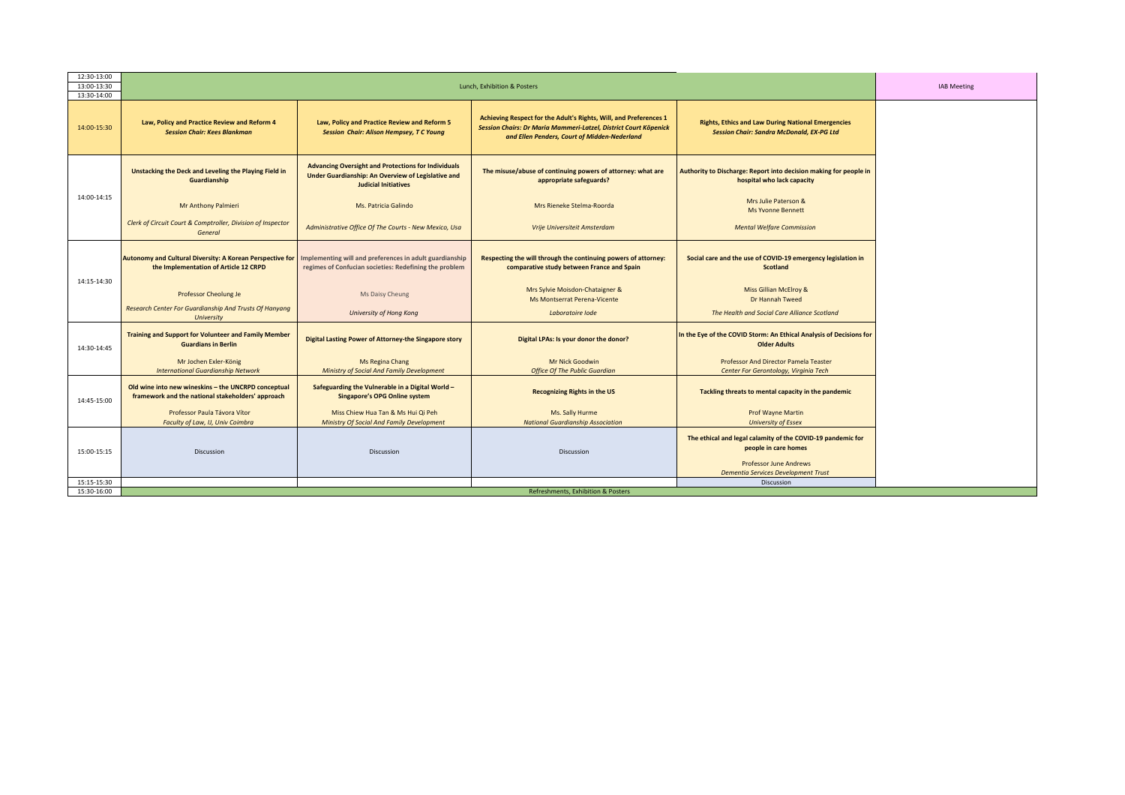| Achieving Respect for the Adult's Rights, Will, and Preferences 1<br>Law, Policy and Practice Review and Reform 4<br>Law, Policy and Practice Review and Reform 5<br><b>Rights, Ethics and Law During National Emergencies</b><br>Session Chairs: Dr Maria Mammeri-Latzel, District Court Köpenick<br><b>Session Chair: Sandra McDonald, EX-PG Ltd</b><br><b>Session Chair: Kees Blankman</b><br><b>Session Chair: Alison Hempsey, T C Young</b><br>and Ellen Penders, Court of Midden-Nederland<br><b>Advancing Oversight and Protections for Individuals</b><br>Unstacking the Deck and Leveling the Playing Field in<br>The misuse/abuse of continuing powers of attorney: what are<br>Authority to Discharge: Report into decision making for people in<br>Under Guardianship: An Overview of Legislative and<br>Guardianship<br>appropriate safeguards?<br>hospital who lack capacity<br><b>Judicial Initiatives</b><br>14:00-14:15<br>Mrs Julie Paterson &<br>Mr Anthony Palmieri<br>Ms. Patricia Galindo<br>Mrs Rieneke Stelma-Roorda<br><b>Ms Yvonne Bennett</b><br>Clerk of Circuit Court & Comptroller, Division of Inspector<br>Administrative Office Of The Courts - New Mexico, Usa<br><b>Mental Welfare Commission</b><br>Vrije Universiteit Amsterdam<br>General<br><b>Autonomy and Cultural Diversity: A Korean Perspective for</b><br>Implementing will and preferences in adult guardianship<br>Respecting the will through the continuing powers of attorney:<br>Social care and the use of COVID-19 emergency legislation in<br>the Implementation of Article 12 CRPD<br>regimes of Confucian societies: Redefining the problem<br>comparative study between France and Spain<br><b>Scotland</b><br>14:15-14:30<br>Mrs Sylvie Moisdon-Chataigner &<br>Miss Gillian McElroy &<br>Professor Cheolung Je<br>Ms Daisy Cheung<br>Ms Montserrat Perena-Vicente<br>Dr Hannah Tweed<br>Research Center For Guardianship And Trusts Of Hanyang<br>The Health and Social Care Alliance Scotland<br><b>University of Hong Kong</b><br>Laboratoire lode<br>University<br><b>Training and Support for Volunteer and Family Member</b><br>In the Eye of the COVID Storm: An Ethical Analysis of Decisions for<br>Digital Lasting Power of Attorney-the Singapore story<br>Digital LPAs: Is your donor the donor?<br><b>Guardians in Berlin</b><br><b>Older Adults</b><br>14:30-14:45<br>Mr Jochen Exler-König<br>Mr Nick Goodwin<br>Professor And Director Pamela Teaster<br>Ms Regina Chang<br><b>International Guardianship Network</b><br>Ministry of Social And Family Development<br><b>Office Of The Public Guardian</b><br>Center For Gerontology, Virginia Tech<br>Old wine into new wineskins - the UNCRPD conceptual<br>Safeguarding the Vulnerable in a Digital World -<br>Tackling threats to mental capacity in the pandemic<br><b>Recognizing Rights in the US</b><br>framework and the national stakeholders' approach<br><b>Singapore's OPG Online system</b><br>14:45-15:00<br>Professor Paula Távora Vítor<br>Miss Chiew Hua Tan & Ms Hui Qi Peh<br>Ms. Sally Hurme<br><b>Prof Wayne Martin</b><br>Faculty of Law, IJ, Univ Coimbra<br>Ministry Of Social And Family Development<br><b>National Guardianship Association</b><br><b>University of Essex</b><br>The ethical and legal calamity of the COVID-19 pandemic for<br>people in care homes<br>15:00-15:15<br>Discussion<br>Discussion<br>Discussion<br><b>Professor June Andrews</b><br><b>Dementia Services Development Trust</b> | 12:30-13:00<br>13:00-13:30 | Lunch, Exhibition & Posters |  |  |                   | <b>IAB Meeting</b> |  |
|-------------------------------------------------------------------------------------------------------------------------------------------------------------------------------------------------------------------------------------------------------------------------------------------------------------------------------------------------------------------------------------------------------------------------------------------------------------------------------------------------------------------------------------------------------------------------------------------------------------------------------------------------------------------------------------------------------------------------------------------------------------------------------------------------------------------------------------------------------------------------------------------------------------------------------------------------------------------------------------------------------------------------------------------------------------------------------------------------------------------------------------------------------------------------------------------------------------------------------------------------------------------------------------------------------------------------------------------------------------------------------------------------------------------------------------------------------------------------------------------------------------------------------------------------------------------------------------------------------------------------------------------------------------------------------------------------------------------------------------------------------------------------------------------------------------------------------------------------------------------------------------------------------------------------------------------------------------------------------------------------------------------------------------------------------------------------------------------------------------------------------------------------------------------------------------------------------------------------------------------------------------------------------------------------------------------------------------------------------------------------------------------------------------------------------------------------------------------------------------------------------------------------------------------------------------------------------------------------------------------------------------------------------------------------------------------------------------------------------------------------------------------------------------------------------------------------------------------------------------------------------------------------------------------------------------------------------------------------------------------------------------------------------------------------------------------------------------------------------------------------------------------------------------------------------------------------------------------------------------------------------------------------------------------------------------------------------------------------------------------------------------------------------------------------------------------------------------------------------------------------------------------|----------------------------|-----------------------------|--|--|-------------------|--------------------|--|
|                                                                                                                                                                                                                                                                                                                                                                                                                                                                                                                                                                                                                                                                                                                                                                                                                                                                                                                                                                                                                                                                                                                                                                                                                                                                                                                                                                                                                                                                                                                                                                                                                                                                                                                                                                                                                                                                                                                                                                                                                                                                                                                                                                                                                                                                                                                                                                                                                                                                                                                                                                                                                                                                                                                                                                                                                                                                                                                                                                                                                                                                                                                                                                                                                                                                                                                                                                                                                                                                                                                   | 13:30-14:00                |                             |  |  |                   |                    |  |
|                                                                                                                                                                                                                                                                                                                                                                                                                                                                                                                                                                                                                                                                                                                                                                                                                                                                                                                                                                                                                                                                                                                                                                                                                                                                                                                                                                                                                                                                                                                                                                                                                                                                                                                                                                                                                                                                                                                                                                                                                                                                                                                                                                                                                                                                                                                                                                                                                                                                                                                                                                                                                                                                                                                                                                                                                                                                                                                                                                                                                                                                                                                                                                                                                                                                                                                                                                                                                                                                                                                   | 14:00-15:30                |                             |  |  |                   |                    |  |
|                                                                                                                                                                                                                                                                                                                                                                                                                                                                                                                                                                                                                                                                                                                                                                                                                                                                                                                                                                                                                                                                                                                                                                                                                                                                                                                                                                                                                                                                                                                                                                                                                                                                                                                                                                                                                                                                                                                                                                                                                                                                                                                                                                                                                                                                                                                                                                                                                                                                                                                                                                                                                                                                                                                                                                                                                                                                                                                                                                                                                                                                                                                                                                                                                                                                                                                                                                                                                                                                                                                   |                            |                             |  |  |                   |                    |  |
|                                                                                                                                                                                                                                                                                                                                                                                                                                                                                                                                                                                                                                                                                                                                                                                                                                                                                                                                                                                                                                                                                                                                                                                                                                                                                                                                                                                                                                                                                                                                                                                                                                                                                                                                                                                                                                                                                                                                                                                                                                                                                                                                                                                                                                                                                                                                                                                                                                                                                                                                                                                                                                                                                                                                                                                                                                                                                                                                                                                                                                                                                                                                                                                                                                                                                                                                                                                                                                                                                                                   |                            |                             |  |  |                   |                    |  |
|                                                                                                                                                                                                                                                                                                                                                                                                                                                                                                                                                                                                                                                                                                                                                                                                                                                                                                                                                                                                                                                                                                                                                                                                                                                                                                                                                                                                                                                                                                                                                                                                                                                                                                                                                                                                                                                                                                                                                                                                                                                                                                                                                                                                                                                                                                                                                                                                                                                                                                                                                                                                                                                                                                                                                                                                                                                                                                                                                                                                                                                                                                                                                                                                                                                                                                                                                                                                                                                                                                                   |                            |                             |  |  |                   |                    |  |
|                                                                                                                                                                                                                                                                                                                                                                                                                                                                                                                                                                                                                                                                                                                                                                                                                                                                                                                                                                                                                                                                                                                                                                                                                                                                                                                                                                                                                                                                                                                                                                                                                                                                                                                                                                                                                                                                                                                                                                                                                                                                                                                                                                                                                                                                                                                                                                                                                                                                                                                                                                                                                                                                                                                                                                                                                                                                                                                                                                                                                                                                                                                                                                                                                                                                                                                                                                                                                                                                                                                   |                            |                             |  |  |                   |                    |  |
|                                                                                                                                                                                                                                                                                                                                                                                                                                                                                                                                                                                                                                                                                                                                                                                                                                                                                                                                                                                                                                                                                                                                                                                                                                                                                                                                                                                                                                                                                                                                                                                                                                                                                                                                                                                                                                                                                                                                                                                                                                                                                                                                                                                                                                                                                                                                                                                                                                                                                                                                                                                                                                                                                                                                                                                                                                                                                                                                                                                                                                                                                                                                                                                                                                                                                                                                                                                                                                                                                                                   |                            |                             |  |  |                   |                    |  |
|                                                                                                                                                                                                                                                                                                                                                                                                                                                                                                                                                                                                                                                                                                                                                                                                                                                                                                                                                                                                                                                                                                                                                                                                                                                                                                                                                                                                                                                                                                                                                                                                                                                                                                                                                                                                                                                                                                                                                                                                                                                                                                                                                                                                                                                                                                                                                                                                                                                                                                                                                                                                                                                                                                                                                                                                                                                                                                                                                                                                                                                                                                                                                                                                                                                                                                                                                                                                                                                                                                                   |                            |                             |  |  |                   |                    |  |
|                                                                                                                                                                                                                                                                                                                                                                                                                                                                                                                                                                                                                                                                                                                                                                                                                                                                                                                                                                                                                                                                                                                                                                                                                                                                                                                                                                                                                                                                                                                                                                                                                                                                                                                                                                                                                                                                                                                                                                                                                                                                                                                                                                                                                                                                                                                                                                                                                                                                                                                                                                                                                                                                                                                                                                                                                                                                                                                                                                                                                                                                                                                                                                                                                                                                                                                                                                                                                                                                                                                   |                            |                             |  |  |                   |                    |  |
|                                                                                                                                                                                                                                                                                                                                                                                                                                                                                                                                                                                                                                                                                                                                                                                                                                                                                                                                                                                                                                                                                                                                                                                                                                                                                                                                                                                                                                                                                                                                                                                                                                                                                                                                                                                                                                                                                                                                                                                                                                                                                                                                                                                                                                                                                                                                                                                                                                                                                                                                                                                                                                                                                                                                                                                                                                                                                                                                                                                                                                                                                                                                                                                                                                                                                                                                                                                                                                                                                                                   |                            |                             |  |  |                   |                    |  |
|                                                                                                                                                                                                                                                                                                                                                                                                                                                                                                                                                                                                                                                                                                                                                                                                                                                                                                                                                                                                                                                                                                                                                                                                                                                                                                                                                                                                                                                                                                                                                                                                                                                                                                                                                                                                                                                                                                                                                                                                                                                                                                                                                                                                                                                                                                                                                                                                                                                                                                                                                                                                                                                                                                                                                                                                                                                                                                                                                                                                                                                                                                                                                                                                                                                                                                                                                                                                                                                                                                                   |                            |                             |  |  |                   |                    |  |
|                                                                                                                                                                                                                                                                                                                                                                                                                                                                                                                                                                                                                                                                                                                                                                                                                                                                                                                                                                                                                                                                                                                                                                                                                                                                                                                                                                                                                                                                                                                                                                                                                                                                                                                                                                                                                                                                                                                                                                                                                                                                                                                                                                                                                                                                                                                                                                                                                                                                                                                                                                                                                                                                                                                                                                                                                                                                                                                                                                                                                                                                                                                                                                                                                                                                                                                                                                                                                                                                                                                   |                            |                             |  |  |                   |                    |  |
|                                                                                                                                                                                                                                                                                                                                                                                                                                                                                                                                                                                                                                                                                                                                                                                                                                                                                                                                                                                                                                                                                                                                                                                                                                                                                                                                                                                                                                                                                                                                                                                                                                                                                                                                                                                                                                                                                                                                                                                                                                                                                                                                                                                                                                                                                                                                                                                                                                                                                                                                                                                                                                                                                                                                                                                                                                                                                                                                                                                                                                                                                                                                                                                                                                                                                                                                                                                                                                                                                                                   |                            |                             |  |  |                   |                    |  |
| Refreshments, Exhibition & Posters<br>15:30-16:00                                                                                                                                                                                                                                                                                                                                                                                                                                                                                                                                                                                                                                                                                                                                                                                                                                                                                                                                                                                                                                                                                                                                                                                                                                                                                                                                                                                                                                                                                                                                                                                                                                                                                                                                                                                                                                                                                                                                                                                                                                                                                                                                                                                                                                                                                                                                                                                                                                                                                                                                                                                                                                                                                                                                                                                                                                                                                                                                                                                                                                                                                                                                                                                                                                                                                                                                                                                                                                                                 | 15:15-15:30                |                             |  |  | <b>Discussion</b> |                    |  |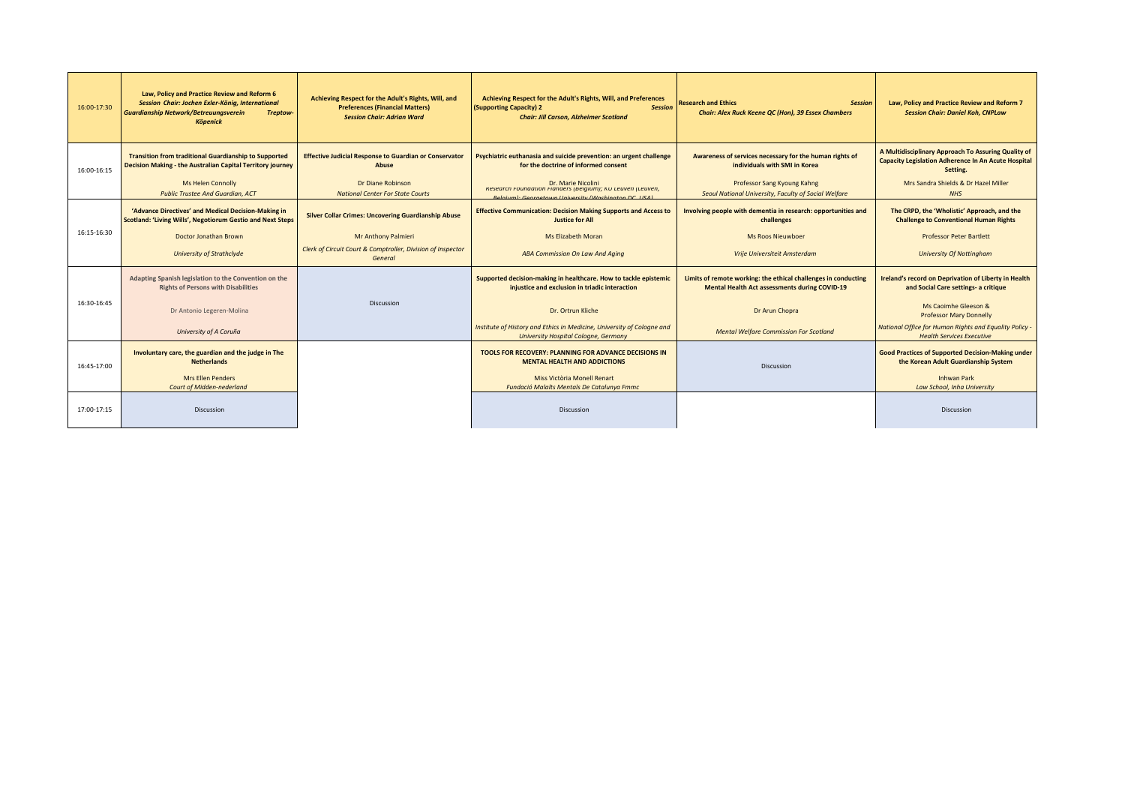| 16:00-17:30 | Law, Policy and Practice Review and Reform 6<br>Session Chair: Jochen Exler-König, International<br><b>Guardianship Network/Betreuungsverein</b><br>Treptow-<br><b>Köpenick</b> | Achieving Respect for the Adult's Rights, Will, and<br><b>Preferences (Financial Matters)</b><br><b>Session Chair: Adrian Ward</b> | Achieving Respect for the Adult's Rights, Will, and Preferences<br>(Supporting Capacity) 2<br><b>Session</b><br><b>Chair: Jill Carson, Alzheimer Scotland</b> | <b>Research and Ethics</b><br><b>Session</b><br>Chair: Alex Ruck Keene QC (Hon), 39 Essex Chambers                     | Law, Policy and Practice Review and Reform 7<br><b>Session Chair: Daniel Koh, CNPLaw</b>                               |
|-------------|---------------------------------------------------------------------------------------------------------------------------------------------------------------------------------|------------------------------------------------------------------------------------------------------------------------------------|---------------------------------------------------------------------------------------------------------------------------------------------------------------|------------------------------------------------------------------------------------------------------------------------|------------------------------------------------------------------------------------------------------------------------|
| 16:00-16:15 | <b>Transition from traditional Guardianship to Supported</b><br>Decision Making - the Australian Capital Territory journey                                                      | <b>Effective Judicial Response to Guardian or Conservator</b><br><b>Abuse</b>                                                      | Psychiatric euthanasia and suicide prevention: an urgent challenge<br>for the doctrine of informed consent                                                    | Awareness of services necessary for the human rights of<br>individuals with SMI in Korea                               | A Multidisciplinary Approach To Assuring Quality of<br>Capacity Legislation Adherence In An Acute Hospital<br>Setting. |
|             | <b>Ms Helen Connolly</b><br><b>Public Trustee And Guardian, ACT</b>                                                                                                             | Dr Diane Robinson<br><b>National Center For State Courts</b>                                                                       | Dr. Marie Nicolini<br>Research Foundation Flanders (Belgium); KU Leuven (Leuven,<br><b>Relaium): Georgetown University (Washington DC USA)</b>                | Professor Sang Kyoung Kahng<br>Seoul National University, Faculty of Social Welfare                                    | Mrs Sandra Shields & Dr Hazel Miller<br><b>NHS</b>                                                                     |
|             | 'Advance Directives' and Medical Decision-Making in<br>Scotland: 'Living Wills', Negotiorum Gestio and Next Steps                                                               | <b>Silver Collar Crimes: Uncovering Guardianship Abuse</b>                                                                         | <b>Effective Communication: Decision Making Supports and Access to</b><br><b>Justice for All</b>                                                              | Involving people with dementia in research: opportunities and<br>challenges                                            | The CRPD, the 'Wholistic' Approach, and the<br><b>Challenge to Conventional Human Rights</b>                           |
| 16:15-16:30 | Doctor Jonathan Brown                                                                                                                                                           | Mr Anthony Palmieri                                                                                                                | <b>Ms Elizabeth Moran</b>                                                                                                                                     | <b>Ms Roos Nieuwboer</b>                                                                                               | <b>Professor Peter Bartlett</b>                                                                                        |
|             | <b>University of Strathclyde</b>                                                                                                                                                | Clerk of Circuit Court & Comptroller, Division of Inspector<br>General                                                             | ABA Commission On Law And Aging                                                                                                                               | Vrije Universiteit Amsterdam                                                                                           | <b>University Of Nottingham</b>                                                                                        |
|             | Adapting Spanish legislation to the Convention on the<br><b>Rights of Persons with Disabilities</b>                                                                             |                                                                                                                                    | Supported decision-making in healthcare. How to tackle epistemic<br>injustice and exclusion in triadic interaction                                            | Limits of remote working: the ethical challenges in conducting<br><b>Mental Health Act assessments during COVID-19</b> | Ireland's record on Deprivation of Liberty in Health<br>and Social Care settings- a critique                           |
| 16:30-16:45 | Dr Antonio Legeren-Molina                                                                                                                                                       | <b>Discussion</b>                                                                                                                  | Dr. Ortrun Kliche                                                                                                                                             | Dr Arun Chopra                                                                                                         | Ms Caoimhe Gleeson &<br><b>Professor Mary Donnelly</b>                                                                 |
|             | University of A Coruña                                                                                                                                                          |                                                                                                                                    | Institute of History and Ethics in Medicine, University of Cologne and<br><b>University Hospital Cologne, Germany</b>                                         | <b>Mental Welfare Commission For Scotland</b>                                                                          | National Office for Human Rights and Equality Policy<br><b>Health Services Executive</b>                               |
| 16:45-17:00 | Involuntary care, the guardian and the judge in The<br><b>Netherlands</b>                                                                                                       |                                                                                                                                    | TOOLS FOR RECOVERY: PLANNING FOR ADVANCE DECISIONS IN<br><b>MENTAL HEALTH AND ADDICTIONS</b>                                                                  | Discussion                                                                                                             | <b>Good Practices of Supported Decision-Making under</b><br>the Korean Adult Guardianship System                       |
|             | <b>Mrs Ellen Penders</b><br><b>Court of Midden-nederland</b>                                                                                                                    |                                                                                                                                    | Miss Victòria Monell Renart<br>Fundació Malalts Mentals De Catalunya Fmmc                                                                                     |                                                                                                                        | <b>Inhwan Park</b><br>Law School, Inha University                                                                      |
| 17:00-17:15 | Discussion                                                                                                                                                                      |                                                                                                                                    | Discussion                                                                                                                                                    |                                                                                                                        | Discussion                                                                                                             |